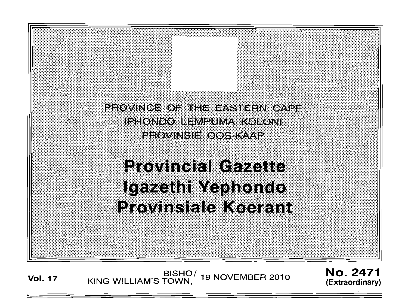

BISHO/ 19 NOVEMBER 2010<br>KING WILLIAM'S TOWN, **Vol. 17** 

**No. 2471** (Extraordinary)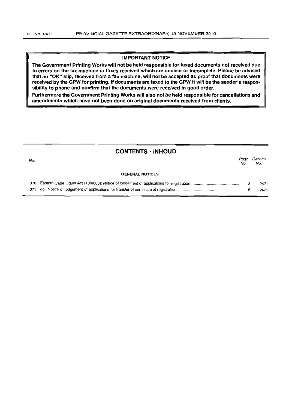## IMPORTANT NOTICE

The Government Printing Works will not be held responsible for faxed documents not received due to errors on the fax machine or faxes received which are unclear or incomplete. Please be advised that an "OK" slip. received from a fax machine, will not be accepted as proof that documents were received by the GPW for printing. If documents are faxed to the GPW it will be the sender's responsibility to phone and confirm that the documents were received in good order.

Furthermore the Government Printing Works will also not be held responsible for cancellations and amendments which have not been done on original documents received from clients.

# CONTENTS • INHOUD

| No. |                        | Page<br>No. | Gazette<br>No. |
|-----|------------------------|-------------|----------------|
|     | <b>GENERAL NOTICES</b> |             |                |
|     |                        |             | 2471           |
|     |                        |             | 2471           |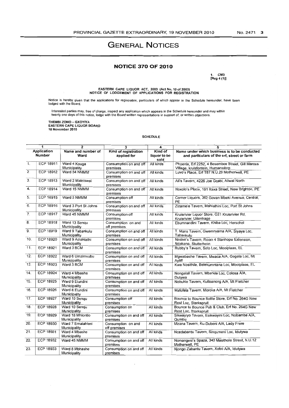# **GENERAL NOTICES**

## **NOTICE 370 OF 2010**

1. CM3  $[Reg 4 (1)]$ 

EASTERN CAPE LIQUOR ACT, 2003 (Act No. 10 of 2003)<br>NOTICE OF LODGEMENT OF APPLICATIONS FOR REGISTRATION

Notice is hereby given that the applications for registration, particulars of which appear in the Schedule hereunder, have been<br>lodged with the Board.

Interested parties may, free of charge, inspect any application which appears in the Schedule hereunder and may within<br>twenty one days of this notice, lodge with the Board written representations in support of, or written

THEMBI ZONO -- GXOYIYA<br>EASTERN CAPE LIQUOR BOARD<br>15 November 2010

#### **SCHEDULE**

| 1                            |                  | $\overline{2}$                       | 3                                   | 4                               | 5                                                                                          |  |
|------------------------------|------------------|--------------------------------------|-------------------------------------|---------------------------------|--------------------------------------------------------------------------------------------|--|
| Application<br><b>Number</b> |                  | Name and number of<br>Ward           | Kind of registration<br>applied for | Kind of<br>liquor to be<br>sold | Name under which business is to be conducted<br>and particulars of the erf, street or farm |  |
| $\overline{1}$ .             | ECP 18911        | Ward 4 Kouga<br>Municipality         | Consumption on and off<br>premises  | All kinds                       | Phoenix, Erf 2252, 4 Besembos Street, Gill Marcus<br>Village, kruisfontein, Humansdorp     |  |
| $\overline{2}$ .             | <b>ECP 18912</b> | Ward 54 NMMM                         | Consumption on and off<br>premises  | All kinds                       | Luvo's Place, Erf T87 N.U.29 Motherwell, PE                                                |  |
| 3.                           | ECP 18913        | Ward 2 Maletswai<br>Municipality     | Consumption on and off<br>premises  | All kinds                       | Ali's Tavern, 4226 Joe Ggabi, Aliwal North                                                 |  |
| $\overline{4}$ .             | <b>ECP 18914</b> | Ward 15 NMMM                         | Consumption on and off<br>premises  | All kinds                       | Noxolo's Place, 191 Raxa Street, New Brighton, PE                                          |  |
| 5.                           | <b>ECP 18915</b> | Ward 5 NMMM                          | Consumption off<br>premises         | All kinds                       | Corner Liquors, 352 Govan Mbeki Avenue, Central,<br>PE                                     |  |
| 6.                           | ECP 18916        | Ward 3 Port St Johns<br>Municipality | Consumption on and off<br>premises  | All kinds                       | Zizamele Tavern, Mahlathini Loc, Port St Johns                                             |  |
| $\overline{7}$ .             | <b>ECP 18917</b> | Ward 45 NMMM                         | Consumption off<br>premises         | All kinds                       | Kruisrivier Liquor Store, G21 Kruisrivier Rd,<br>Kruisrivier, Uitenhage                    |  |
| 8.                           | <b>ECP 18918</b> | Ward 13 Sengu<br>Municipality        | Consumption on and<br>off premises  | All kinds                       | Ebumnandini Tavern, Khiba Loc, Herschel                                                    |  |
| $\overline{9}$ .             | <b>ECP 18919</b> | Ward 9 Tabankulu<br>Municipality     | Consumption on and off<br>premises  | All kinds                       | T. Mans Tavern, Gwemnyama A/A, Siyaya Loc,<br>Tabankulu                                    |  |
| 10.                          | ECP 18920        | Ward 9 Amahlathi<br>Municipality     | Consumption on and off<br>premises  | All kinds                       | Nosive's Tavern, Room 4 Stanhope Extension,<br>Ndakana, Stutterheim                        |  |
| 11.                          | ECP 18921        | Ward 3 BCM                           | Consumption on and off<br>premises  | All kinds                       | Rubby's Tavern, Soto Loc, Mooiplaas, EL                                                    |  |
| 12.                          | <b>ECP 18922</b> | Ward 6 Umzimvubu<br>Municipality     | Consumption on and off<br>premises  | All kinds                       | Mgwabashe Tayern, Mwaca A/A, Gogela Loc, Mt<br>Ayliff                                      |  |
| 13.                          | <b>ECP 18923</b> | Ward 3 BCM                           | Consumption on and off<br>premises  | All kinds                       | Kwa Nosithile, Belekumntana Loc, Mooiplaas, EL                                             |  |
| 14.                          | <b>ECP 18924</b> | Ward 4 Mbashe<br>Municipality        | Consumption on and off<br>premises  | All kinds                       | Nongalali Tavern, Mbande Loc, Colosa A/A,<br>Dutywa                                        |  |
| 15.                          | <b>ECP 18925</b> | Ward 9 Eiundini<br>Municipality      | Consumption on and off<br>premises  | All kinds                       | Nobuhle Tavern, Kutloanong A/A, Mt Fletcher                                                |  |
| 16.                          | <b>ECP 18926</b> | Ward 8 Elundini<br>Municipality      | Consumption on and off<br>premises  | All kinds                       | Mafofela Tavern, Moroka A/A, Mt Fletcher                                                   |  |
| 17.                          | <b>ECP 18927</b> | Ward 10 Sengu<br>Municipality        | Consumption off<br>premises         | All kinds                       | Bounce to Bounce Bottle Store, Erf No. 264G New<br>Rest Loc. Sterkspruit                   |  |
| 18.                          | ECP 18928        | Ward 10 Sengu<br>Municipality        | Consumption on<br>premises          | All kinds                       | Bounce to Bounce Pub & Club, Erf No. 264G New<br>Rest Loc, Sterkspruit                     |  |
| 19.                          | <b>ECP 18929</b> | Ward 18 Mhlontlo<br>Municipality     | Consumption on and off<br>premises  | All kinds                       | Sikwayiyo Tavern, Esikwayini Loc, Nobamba A/A,<br>Qumbu                                    |  |
| 20.                          | ECP 18930        | Ward 7 Emaiahieni<br>Municipality    | Consumption on and<br>off premises  | All kinds                       | Mzana Tavern, Ku-Dubeni A/A, Lady Frere                                                    |  |
| 21.                          | <b>ECP 18931</b> | Ward 4 Mbashe<br>Municipality        | Consumption on and off<br>premises  | All kinds                       | Ncedabantu Tavern, Singumeni Loc, Idutywa                                                  |  |
| 22.                          | ECP 18932        | Ward 45 NMMM                         | Consumption on and off<br>premises  | All kinds                       | Nomangesi's Spaza, 340 Masithole Street, N.U.12<br>Motherwell, PE                          |  |
| 23.                          | <b>ECP 18933</b> | Ward 8 Mbhashe<br>Municipality       | Consumption on and off<br>premises  | All kinds                       | Njongo Zabantu Tavern, Xobo A/A, Idutywa                                                   |  |

 $\bar{z}$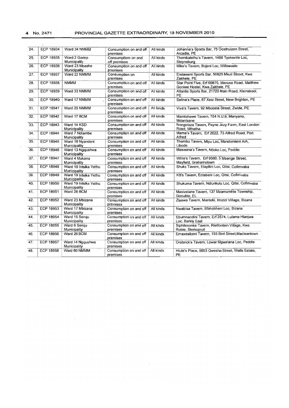| $\overline{24}$ . | ECP 18934        | Ward 34 NMMM                          | Consumption on and off<br>premises | All kinds | Johanna's Sports Bar, 75 Oosthuizen Street,<br>Arcadia, PE                         |
|-------------------|------------------|---------------------------------------|------------------------------------|-----------|------------------------------------------------------------------------------------|
| 25.               | <b>ECP 18935</b> | Ward 2 Gariep<br>Municipality         | Consumptiom on and<br>off premises | All kinds | Thembalethu's Tavern, 1488 Tyoksville Loc,<br>Steynsburg                           |
| 26.               | <b>ECP 18936</b> | Ward 23 Mbashe<br>Municipality        | Consumption on and off<br>premises | All kinds | Mike's Tavern, Bojeni Loc, Willowvale                                              |
| 27.               | <b>ECP 18937</b> | Ward 22 NMMM                          | Consumption on<br>premises         | All kinds | Endaweni Sports Bar, 50825 Mkuli Street, Kwa<br>Zakhele, PE                        |
| 28.               | ECP 18938        | <b>NMMM</b>                           | Consumption on and off<br>premises | All kinds | Star Point Five, Erf 66875, Mavuso Road, Matthew<br>Goniwe Hostel, Kwa Zakhele, PE |
| 29.               | <b>ECP 18939</b> | Ward 33 NMMM                          | Consumption on and off<br>premises | All kinds | Atlantis Sports Bar, 21720 Main Road, Kleinskool,<br>PE                            |
| 30.               | <b>ECP 18940</b> | Ward 17 NMMM                          | Consumption on and off<br>premises | All kinds | Selina's Place, 67 Xesi Street, New Brighton, PE                                   |
| 31.               | <b>ECP 18941</b> | Ward 25 NMMM                          | Consumption on and off<br>premises | All kinds | Viva's Tavern, 92 Mbobela Street, Zwide, PE                                        |
| 32.               | <b>ECP 18942</b> | Ward 17 BCM                           | Consumption on and off<br>premises | All kinds | Mamtshawe Tavern, 754 N.U.9, Manyano,<br>Mdantsane                                 |
| $\overline{33}$ . | <b>ECP 18943</b> | Ward 14 KSD<br>Municipality           | Consumption on and off<br>premises | All kinds | Nongoloza Tavern, Payne Jezy Farm, East London<br>Road, Mthatha                    |
| 34.               | <b>ECP 18944</b> | Ward 7 Ndlambe<br>Municipality        | Consumption on and off<br>premises | All kinds | Mama's Tavern, Erf 2022, 73 Alfred Road, Port<br>Alfred                            |
| 35.               | <b>ECP 18945</b> | Ward 16 Nyandeni<br>Municipality      | Consumption on and off<br>premises | All kinds | Thembu Tavern, Mtyu Loc, Mandomleni A/A,<br>Libode                                 |
| 36.               | <b>ECP 18946</b> | Ward 13 Nggushwa<br>Municipality      | Consumption on and off<br>premises | All kinds | Maswana's Tavern, Ntloko Loc, Peddie                                               |
| 37.               | <b>ECP 18947</b> | Ward 4 Makana<br>Municipality         | Consumption on and off<br>premises | All kinds | Willie's Tavern, Erf 9560, 5 Msenge Street,<br>Mayfield, Grahamstown               |
| 38.               | <b>ECP 18948</b> | Ward 19 Intsika Yethu<br>Municipality | Consumption on and off<br>premises | All kinds | Shuks Tavern, Elayitini Loc, Qitsi, Cofimvaba                                      |
| 39.               | <b>ECP 18949</b> | Ward 19 Intsika Yethu<br>Municipality | Consumption on and off<br>premises | All kinds | KB's Tavern, Entabeni Loc, Qitsi, Cofimvaba                                        |
| 40.               | ECP 18950        | Ward 19 Intsika Yethu<br>Municipality | Consumption on and off<br>premises | All kinds | Shukuma Tavern, Ndlunkulu Loc, Qitsi, Cofimvaba                                    |
| 41.               | <b>ECP 18951</b> | Ward 28 BCM                           | Consumption on and off<br>premises | All kinds | Masivelane Tavern, 137 Mzamomhle Township,<br>Gonubie, EL                          |
| 42.               | <b>ECP 18952</b> | Ward 23 Mbizana<br>Municipality       | Consumption on and off<br>premises | All kinds | Ziyawa Tavern, Manteki, Imizizi Village, Bizana                                    |
| 43.               | <b>ECP 18953</b> | Ward 17 Mbizana<br>Municipality       | Consumption on and off<br>premises | All kinds | Nwabisa Tavern, Mbhobheni Loc, Bizana                                              |
| 44.               | <b>ECP 18954</b> | Ward 15 Sengu<br>Municipality         | Consumption on and off<br>premises | All kinds | Ebumnandini Tavern, Erf 2574, Lulama Hlaniwa<br>Loc. Barkly East                   |
| 45.               | <b>ECP 18955</b> | Ward 6 Sengu<br>Municipality          | Consumption on and off<br>premises | All kinds | Siphilesonke Tavern, Rietfontein Village, Kwa<br>Robie, Sterkspruit                |
| 46.               | <b>ECP 18956</b> | Ward 26 BCM                           | Consumption on and off<br>premises | All kinds | Emaxesibeni Tavern, 193 Bird Street, Macleantown                                   |
| 47.               | <b>ECP 18957</b> | Ward 14 Nggushwa<br>Municipality      | Consumption on and off<br>premises | All kinds | Orobrick's Tavern, Lower Mgwalana Loc, Peddie                                      |
| 48.               | <b>ECP 18958</b> | Ward 60 NMMM                          | Consumption on and off<br>premises | All kinds | Hlubi's Place, 5653 Qwesha Street, Wells Estate,<br>PE                             |